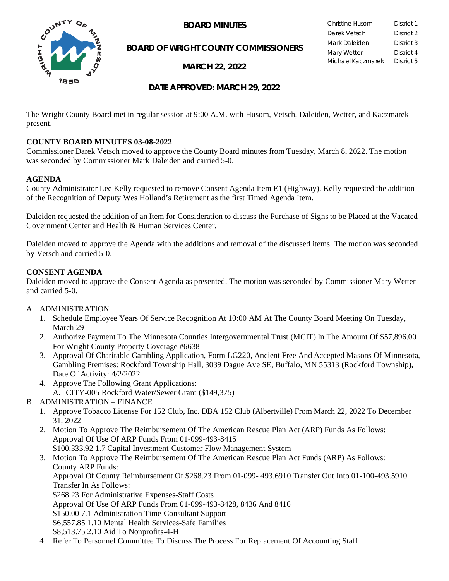

**BOARD OF WRIGHT COUNTY COMMISSIONERS**

**MARCH 22, 2022**

**BOARD MINUTES** Christine Husom District 1<br>Darek Vetsch District 2 Darek Vetsch Mark Daleiden **District 3** Mary Wetter **District 4** Michael Kaczmarek District 5

#### **DATE APPROVED: MARCH 29, 2022**

The Wright County Board met in regular session at 9:00 A.M. with Husom, Vetsch, Daleiden, Wetter, and Kaczmarek present.

#### **COUNTY BOARD MINUTES 03-08-2022**

Commissioner Darek Vetsch moved to approve the County Board minutes from Tuesday, March 8, 2022. The motion was seconded by Commissioner Mark Daleiden and carried 5-0.

#### **AGENDA**

County Administrator Lee Kelly requested to remove Consent Agenda Item E1 (Highway). Kelly requested the addition of the Recognition of Deputy Wes Holland's Retirement as the first Timed Agenda Item.

Daleiden requested the addition of an Item for Consideration to discuss the Purchase of Signs to be Placed at the Vacated Government Center and Health & Human Services Center.

Daleiden moved to approve the Agenda with the additions and removal of the discussed items. The motion was seconded by Vetsch and carried 5-0.

#### **CONSENT AGENDA**

Daleiden moved to approve the Consent Agenda as presented. The motion was seconded by Commissioner Mary Wetter and carried 5-0.

#### A. ADMINISTRATION

- 1. Schedule Employee Years Of Service Recognition At 10:00 AM At The County Board Meeting On Tuesday, March 29
- 2. Authorize Payment To The Minnesota Counties Intergovernmental Trust (MCIT) In The Amount Of \$57,896.00 For Wright County Property Coverage #6638
- 3. Approval Of Charitable Gambling Application, Form LG220, Ancient Free And Accepted Masons Of Minnesota, Gambling Premises: Rockford Township Hall, 3039 Dague Ave SE, Buffalo, MN 55313 (Rockford Township), Date Of Activity: 4/2/2022
- 4. Approve The Following Grant Applications:
	- A. CITY-005 Rockford Water/Sewer Grant (\$149,375)
- B. ADMINISTRATION FINANCE
	- 1. Approve Tobacco License For 152 Club, Inc. DBA 152 Club (Albertville) From March 22, 2022 To December 31, 2022
	- 2. Motion To Approve The Reimbursement Of The American Rescue Plan Act (ARP) Funds As Follows: Approval Of Use Of ARP Funds From 01-099-493-8415 \$100,333.92 1.7 Capital Investment-Customer Flow Management System
	- 3. Motion To Approve The Reimbursement Of The American Rescue Plan Act Funds (ARP) As Follows: County ARP Funds: Approval Of County Reimbursement Of \$268.23 From 01-099- 493.6910 Transfer Out Into 01-100-493.5910 Transfer In As Follows: \$268.23 For Administrative Expenses-Staff Costs Approval Of Use Of ARP Funds From 01-099-493-8428, 8436 And 8416 \$150.00 7.1 Administration Time-Consultant Support \$6,557.85 1.10 Mental Health Services-Safe Families \$8,513.75 2.10 Aid To Nonprofits-4-H
	- 4. Refer To Personnel Committee To Discuss The Process For Replacement Of Accounting Staff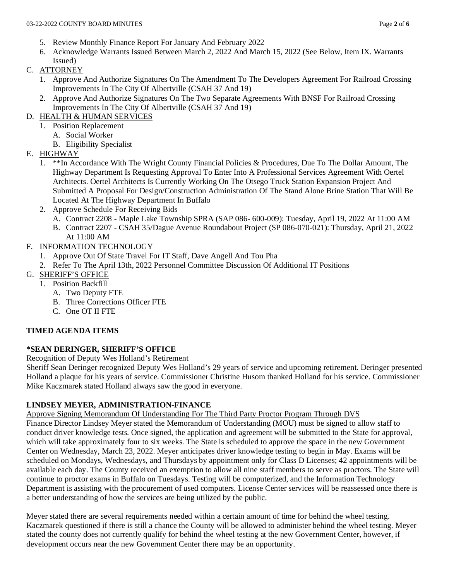- 5. Review Monthly Finance Report For January And February 2022
- 6. Acknowledge Warrants Issued Between March 2, 2022 And March 15, 2022 (See Below, Item IX. Warrants Issued)
- C. ATTORNEY
	- 1. Approve And Authorize Signatures On The Amendment To The Developers Agreement For Railroad Crossing Improvements In The City Of Albertville (CSAH 37 And 19)
	- 2. Approve And Authorize Signatures On The Two Separate Agreements With BNSF For Railroad Crossing Improvements In The City Of Albertville (CSAH 37 And 19)
- D. HEALTH & HUMAN SERVICES
	- 1. Position Replacement
		- A. Social Worker
		- B. Eligibility Specialist
- E. HIGHWAY
	- 1. \*\*In Accordance With The Wright County Financial Policies & Procedures, Due To The Dollar Amount, The Highway Department Is Requesting Approval To Enter Into A Professional Services Agreement With Oertel Architects. Oertel Architects Is Currently Working On The Otsego Truck Station Expansion Project And Submitted A Proposal For Design/Construction Administration Of The Stand Alone Brine Station That Will Be Located At The Highway Department In Buffalo
	- 2. Approve Schedule For Receiving Bids
		- A. Contract 2208 Maple Lake Township SPRA (SAP 086- 600-009): Tuesday, April 19, 2022 At 11:00 AM
		- B. Contract 2207 CSAH 35/Dague Avenue Roundabout Project (SP 086-070-021): Thursday, April 21, 2022 At 11:00 AM
- F. INFORMATION TECHNOLOGY
	- 1. Approve Out Of State Travel For IT Staff, Dave Angell And Tou Pha
	- 2. Refer To The April 13th, 2022 Personnel Committee Discussion Of Additional IT Positions
- G. SHERIFF'S OFFICE
	- 1. Position Backfill
		- A. Two Deputy FTE
		- B. Three Corrections Officer FTE
		- C. One OT II FTE

# **TIMED AGENDA ITEMS**

# **\*SEAN DERINGER, SHERIFF'S OFFICE**

Recognition of Deputy Wes Holland's Retirement

Sheriff Sean Deringer recognized Deputy Wes Holland's 29 years of service and upcoming retirement. Deringer presented Holland a plaque for his years of service. Commissioner Christine Husom thanked Holland for his service. Commissioner Mike Kaczmarek stated Holland always saw the good in everyone.

### **LINDSEY MEYER, ADMINISTRATION-FINANCE**

Approve Signing Memorandum Of Understanding For The Third Party Proctor Program Through DVS

Finance Director Lindsey Meyer stated the Memorandum of Understanding (MOU) must be signed to allow staff to conduct driver knowledge tests. Once signed, the application and agreement will be submitted to the State for approval, which will take approximately four to six weeks. The State is scheduled to approve the space in the new Government Center on Wednesday, March 23, 2022. Meyer anticipates driver knowledge testing to begin in May. Exams will be scheduled on Mondays, Wednesdays, and Thursdays by appointment only for Class D Licenses; 42 appointments will be available each day. The County received an exemption to allow all nine staff members to serve as proctors. The State will continue to proctor exams in Buffalo on Tuesdays. Testing will be computerized, and the Information Technology Department is assisting with the procurement of used computers. License Center services will be reassessed once there is a better understanding of how the services are being utilized by the public.

Meyer stated there are several requirements needed within a certain amount of time for behind the wheel testing. Kaczmarek questioned if there is still a chance the County will be allowed to administer behind the wheel testing. Meyer stated the county does not currently qualify for behind the wheel testing at the new Government Center, however, if development occurs near the new Government Center there may be an opportunity.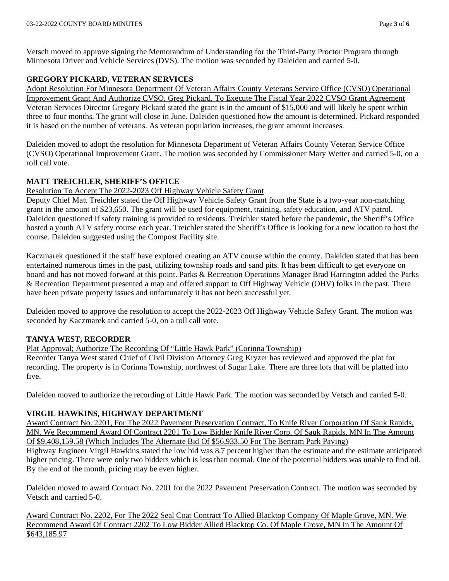Vetsch moved to approve signing the Memorandum of Understanding for the Third-Party Proctor Program through Minnesota Driver and Vehicle Services (DVS). The motion was seconded by Daleiden and carried 5-0.

## **GREGORY PICKARD, VETERAN SERVICES**

Adopt Resolution For Minnesota Department Of Veteran Affairs County Veterans Service Office (CVSO) Operational Improvement Grant And Authorize CVSO, Greg Pickard, To Execute The Fiscal Year 2022 CVSO Grant Agreement Veteran Services Director Gregory Pickard stated the grant is in the amount of \$15,000 and will likely be spent within three to four months. The grant will close in June. Daleiden questioned how the amount is determined. Pickard responded it is based on the number of veterans. As veteran population increases, the grant amount increases.

Daleiden moved to adopt the resolution for Minnesota Department of Veteran Affairs County Veteran Service Office (CVSO) Operational Improvement Grant. The motion was seconded by Commissioner Mary Wetter and carried 5-0, on a roll call vote.

## **MATT TREICHLER, SHERIFF'S OFFICE**

Resolution To Accept The 2022-2023 Off Highway Vehicle Safety Grant

Deputy Chief Matt Treichler stated the Off Highway Vehicle Safety Grant from the State is a two-year non-matching grant in the amount of \$23,650. The grant will be used for equipment, training, safety education, and ATV patrol. Daleiden questioned if safety training is provided to residents. Treichler stated before the pandemic, the Sheriff's Office hosted a youth ATV safety course each year. Treichler stated the Sheriff's Office is looking for a new location to host the course. Daleiden suggested using the Compost Facility site.

Kaczmarek questioned if the staff have explored creating an ATV course within the county. Daleiden stated that has been entertained numerous times in the past, utilizing township roads and sand pits. It has been difficult to get everyone on board and has not moved forward at this point. Parks & Recreation Operations Manager Brad Harrington added the Parks & Recreation Department presented a map and offered support to Off Highway Vehicle (OHV) folks in the past. There have been private property issues and unfortunately it has not been successful yet.

Daleiden moved to approve the resolution to accept the 2022-2023 Off Highway Vehicle Safety Grant. The motion was seconded by Kaczmarek and carried 5-0, on a roll call vote.

### **TANYA WEST, RECORDER**

Plat Approval; Authorize The Recording Of "Little Hawk Park" (Corinna Township)

Recorder Tanya West stated Chief of Civil Division Attorney Greg Kryzer has reviewed and approved the plat for recording. The property is in Corinna Township, northwest of Sugar Lake. There are three lots that will be platted into five.

Daleiden moved to authorize the recording of Little Hawk Park. The motion was seconded by Vetsch and carried 5-0.

### **VIRGIL HAWKINS, HIGHWAY DEPARTMENT**

Award Contract No. 2201, For The 2022 Pavement Preservation Contract, To Knife River Corporation Of Sauk Rapids, MN. We Recommend Award Of Contract 2201 To Low Bidder Knife River Corp. Of Sauk Rapids, MN In The Amount Of \$9,408,159.58 (Which Includes The Alternate Bid Of \$56,933.50 For The Bertram Park Paving) Highway Engineer Virgil Hawkins stated the low bid was 8.7 percent higher than the estimate and the estimate anticipated higher pricing. There were only two bidders which is less than normal. One of the potential bidders was unable to find oil. By the end of the month, pricing may be even higher.

Daleiden moved to award Contract No. 2201 for the 2022 Pavement Preservation Contract. The motion was seconded by Vetsch and carried 5-0.

Award Contract No. 2202, For The 2022 Seal Coat Contract To Allied Blacktop Company Of Maple Grove, MN. We Recommend Award Of Contract 2202 To Low Bidder Allied Blacktop Co. Of Maple Grove, MN In The Amount Of \$643,185.97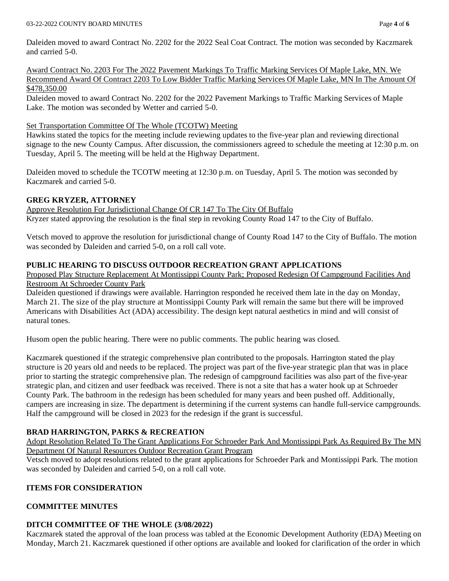Daleiden moved to award Contract No. 2202 for the 2022 Seal Coat Contract. The motion was seconded by Kaczmarek and carried 5-0.

Award Contract No. 2203 For The 2022 Pavement Markings To Traffic Marking Services Of Maple Lake, MN. We Recommend Award Of Contract 2203 To Low Bidder Traffic Marking Services Of Maple Lake, MN In The Amount Of \$478,350.00

Daleiden moved to award Contract No. 2202 for the 2022 Pavement Markings to Traffic Marking Services of Maple Lake. The motion was seconded by Wetter and carried 5-0.

### Set Transportation Committee Of The Whole (TCOTW) Meeting

Hawkins stated the topics for the meeting include reviewing updates to the five-year plan and reviewing directional signage to the new County Campus. After discussion, the commissioners agreed to schedule the meeting at 12:30 p.m. on Tuesday, April 5. The meeting will be held at the Highway Department.

Daleiden moved to schedule the TCOTW meeting at 12:30 p.m. on Tuesday, April 5. The motion was seconded by Kaczmarek and carried 5-0.

## **GREG KRYZER, ATTORNEY**

Approve Resolution For Jurisdictional Change Of CR 147 To The City Of Buffalo Kryzer stated approving the resolution is the final step in revoking County Road 147 to the City of Buffalo.

Vetsch moved to approve the resolution for jurisdictional change of County Road 147 to the City of Buffalo. The motion was seconded by Daleiden and carried 5-0, on a roll call vote.

### **PUBLIC HEARING TO DISCUSS OUTDOOR RECREATION GRANT APPLICATIONS**

Proposed Play Structure Replacement At Montissippi County Park; Proposed Redesign Of Campground Facilities And Restroom At Schroeder County Park

Daleiden questioned if drawings were available. Harrington responded he received them late in the day on Monday, March 21. The size of the play structure at Montissippi County Park will remain the same but there will be improved Americans with Disabilities Act (ADA) accessibility. The design kept natural aesthetics in mind and will consist of natural tones.

Husom open the public hearing. There were no public comments. The public hearing was closed.

Kaczmarek questioned if the strategic comprehensive plan contributed to the proposals. Harrington stated the play structure is 20 years old and needs to be replaced. The project was part of the five-year strategic plan that was in place prior to starting the strategic comprehensive plan. The redesign of campground facilities was also part of the five-year strategic plan, and citizen and user feedback was received. There is not a site that has a water hook up at Schroeder County Park. The bathroom in the redesign has been scheduled for many years and been pushed off. Additionally, campers are increasing in size. The department is determining if the current systems can handle full-service campgrounds. Half the campground will be closed in 2023 for the redesign if the grant is successful.

# **BRAD HARRINGTON, PARKS & RECREATION**

Adopt Resolution Related To The Grant Applications For Schroeder Park And Montissippi Park As Required By The MN Department Of Natural Resources Outdoor Recreation Grant Program

Vetsch moved to adopt resolutions related to the grant applications for Schroeder Park and Montissippi Park. The motion was seconded by Daleiden and carried 5-0, on a roll call vote.

# **ITEMS FOR CONSIDERATION**

# **COMMITTEE MINUTES**

# **DITCH COMMITTEE OF THE WHOLE (3/08/2022)**

Kaczmarek stated the approval of the loan process was tabled at the Economic Development Authority (EDA) Meeting on Monday, March 21. Kaczmarek questioned if other options are available and looked for clarification of the order in which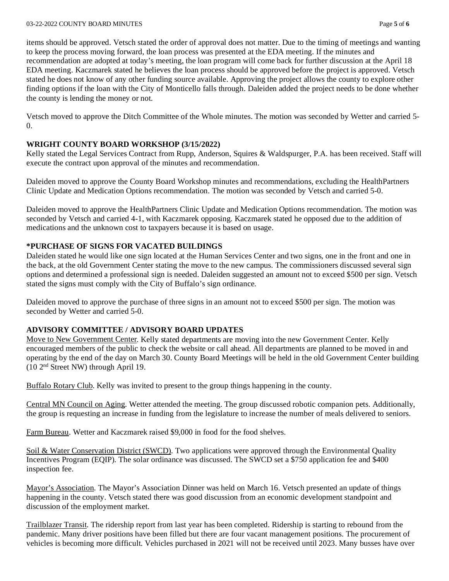#### 03-22-2022 COUNTY BOARD MINUTES Page **5** of **6**

items should be approved. Vetsch stated the order of approval does not matter. Due to the timing of meetings and wanting to keep the process moving forward, the loan process was presented at the EDA meeting. If the minutes and recommendation are adopted at today's meeting, the loan program will come back for further discussion at the April 18 EDA meeting. Kaczmarek stated he believes the loan process should be approved before the project is approved. Vetsch stated he does not know of any other funding source available. Approving the project allows the county to explore other finding options if the loan with the City of Monticello falls through. Daleiden added the project needs to be done whether the county is lending the money or not.

Vetsch moved to approve the Ditch Committee of the Whole minutes. The motion was seconded by Wetter and carried 5- 0.

#### **WRIGHT COUNTY BOARD WORKSHOP (3/15/2022)**

Kelly stated the Legal Services Contract from Rupp, Anderson, Squires & Waldspurger, P.A. has been received. Staff will execute the contract upon approval of the minutes and recommendation.

Daleiden moved to approve the County Board Workshop minutes and recommendations, excluding the HealthPartners Clinic Update and Medication Options recommendation. The motion was seconded by Vetsch and carried 5-0.

Daleiden moved to approve the HealthPartners Clinic Update and Medication Options recommendation. The motion was seconded by Vetsch and carried 4-1, with Kaczmarek opposing. Kaczmarek stated he opposed due to the addition of medications and the unknown cost to taxpayers because it is based on usage.

#### **\*PURCHASE OF SIGNS FOR VACATED BUILDINGS**

Daleiden stated he would like one sign located at the Human Services Center and two signs, one in the front and one in the back, at the old Government Center stating the move to the new campus. The commissioners discussed several sign options and determined a professional sign is needed. Daleiden suggested an amount not to exceed \$500 per sign. Vetsch stated the signs must comply with the City of Buffalo's sign ordinance.

Daleiden moved to approve the purchase of three signs in an amount not to exceed \$500 per sign. The motion was seconded by Wetter and carried 5-0.

### **ADVISORY COMMITTEE / ADVISORY BOARD UPDATES**

Move to New Government Center. Kelly stated departments are moving into the new Government Center. Kelly encouraged members of the public to check the website or call ahead. All departments are planned to be moved in and operating by the end of the day on March 30. County Board Meetings will be held in the old Government Center building (10 2nd Street NW) through April 19.

Buffalo Rotary Club. Kelly was invited to present to the group things happening in the county.

Central MN Council on Aging. Wetter attended the meeting. The group discussed robotic companion pets. Additionally, the group is requesting an increase in funding from the legislature to increase the number of meals delivered to seniors.

Farm Bureau. Wetter and Kaczmarek raised \$9,000 in food for the food shelves.

Soil & Water Conservation District (SWCD). Two applications were approved through the Environmental Quality Incentives Program (EQIP). The solar ordinance was discussed. The SWCD set a \$750 application fee and \$400 inspection fee.

Mayor's Association. The Mayor's Association Dinner was held on March 16. Vetsch presented an update of things happening in the county. Vetsch stated there was good discussion from an economic development standpoint and discussion of the employment market.

Trailblazer Transit. The ridership report from last year has been completed. Ridership is starting to rebound from the pandemic. Many driver positions have been filled but there are four vacant management positions. The procurement of vehicles is becoming more difficult. Vehicles purchased in 2021 will not be received until 2023. Many busses have over